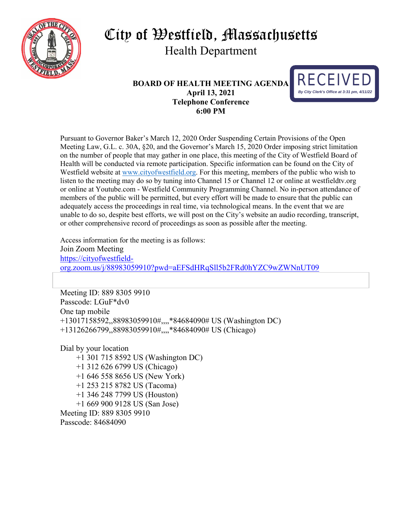

# City of Westfield, Massachusetts Health Department

#### **BOARD OF HEALTH MEETING AGENDA April 13, 2021 Telephone Conference 6:00 PM**



Pursuant to Governor Baker's March 12, 2020 Order Suspending Certain Provisions of the Open Meeting Law, G.L. c. 30A, §20, and the Governor's March 15, 2020 Order imposing strict limitation on the number of people that may gather in one place, this meeting of the City of Westfield Board of Health will be conducted via remote participation. Specific information can be found on the City of Westfield website at [www.cityofwestfield.org.](http://www.cityofwestfield.org/) For this meeting, members of the public who wish to listen to the meeting may do so by tuning into Channel 15 or Channel 12 or online at westfieldtv.org or online at Youtube.com - Westfield Community Programming Channel. No in-person attendance of members of the public will be permitted, but every effort will be made to ensure that the public can adequately access the proceedings in real time, via technological means. In the event that we are unable to do so, despite best efforts, we will post on the City's website an audio recording, transcript, or other comprehensive record of proceedings as soon as possible after the meeting.

Access information for the meeting is as follows: Join Zoom Meeting [https://cityofwestfield](https://cityofwestfield-org.zoom.us/j/88983059910?pwd=aEFSdHRqSll5b2FRd0hYZC9wZWNnUT09)[org.zoom.us/j/88983059910?pwd=aEFSdHRqSll5b2FRd0hYZC9wZWNnUT09](https://cityofwestfield-org.zoom.us/j/88983059910?pwd=aEFSdHRqSll5b2FRd0hYZC9wZWNnUT09)

Meeting ID: 889 8305 9910 Passcode: LGuF\*dv0 One tap mobile +13017158592,,88983059910#,,,,\*84684090# US (Washington DC) +13126266799,,88983059910#,,,,\*84684090# US (Chicago)

Dial by your location

 +1 301 715 8592 US (Washington DC) +1 312 626 6799 US (Chicago) +1 646 558 8656 US (New York) +1 253 215 8782 US (Tacoma) +1 346 248 7799 US (Houston) +1 669 900 9128 US (San Jose) Meeting ID: 889 8305 9910 Passcode: 84684090